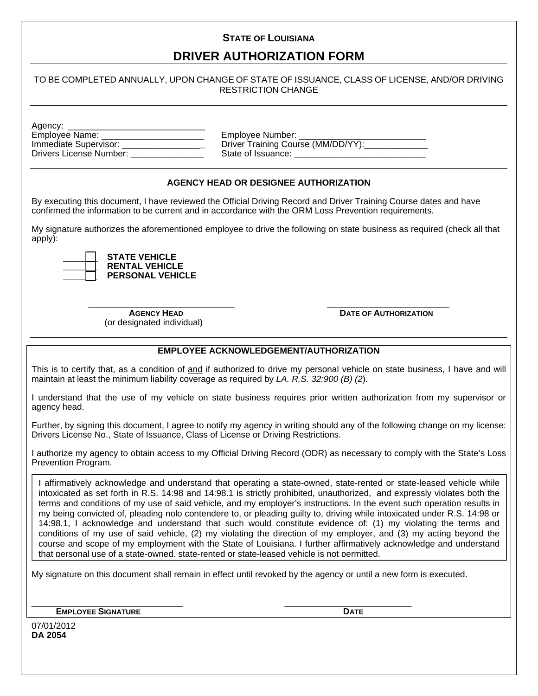### **STATE OF LOUISIANA**

# **DRIVER AUTHORIZATION FORM**

#### TO BE COMPLETED ANNUALLY, UPON CHANGE OF STATE OF ISSUANCE, CLASS OF LICENSE, AND/OR DRIVING RESTRICTION CHANGE

| Agency:                 |
|-------------------------|
| Employee Name:          |
| Immediate Supervisor:   |
| Drivers License Number: |

Employee Number: \_ Driver Training Course (MM/DD/YY): State of Issuance:

#### **AGENCY HEAD OR DESIGNEE AUTHORIZATION**

By executing this document, I have reviewed the Official Driving Record and Driver Training Course dates and have confirmed the information to be current and in accordance with the ORM Loss Prevention requirements.

My signature authorizes the aforementioned employee to drive the following on state business as required (check all that apply):



 \_\_\_\_\_\_\_ **STATE VEHICLE \_\_\_\_\_\_\_ RENTAL VEHICLE PERSONAL VEHICLE** 

(or designated individual)

\_\_\_\_\_\_\_\_\_\_\_\_\_\_\_\_\_\_\_\_\_\_\_\_\_\_\_\_\_\_ \_\_\_\_\_\_\_\_\_\_\_\_\_\_\_\_\_\_\_\_\_\_\_\_\_ **AGENCY HEAD DATE OF AUTHORIZATION**

#### **EMPLOYEE ACKNOWLEDGEMENT/AUTHORIZATION**

This is to certify that, as a condition of and if authorized to drive my personal vehicle on state business, I have and will maintain at least the minimum liability coverage as required by *LA. R.S. 32:900 (B) (2*).

I understand that the use of my vehicle on state business requires prior written authorization from my supervisor or agency head.

Further, by signing this document, I agree to notify my agency in writing should any of the following change on my license: Drivers License No., State of Issuance, Class of License or Driving Restrictions.

I authorize my agency to obtain access to my Official Driving Record (ODR) as necessary to comply with the State's Loss Prevention Program.

I affirmatively acknowledge and understand that operating a state-owned, state-rented or state-leased vehicle while intoxicated as set forth in R.S. 14:98 and 14:98.1 is strictly prohibited, unauthorized, and expressly violates both the terms and conditions of my use of said vehicle, and my employer's instructions. In the event such operation results in my being convicted of, pleading nolo contendere to, or pleading guilty to, driving while intoxicated under R.S. 14:98 or 14:98.1, I acknowledge and understand that such would constitute evidence of: (1) my violating the terms and conditions of my use of said vehicle, (2) my violating the direction of my employer, and (3) my acting beyond the course and scope of my employment with the State of Louisiana. I further affirmatively acknowledge and understand that personal use of a state-owned, state-rented or state-leased vehicle is not permitted.

My signature on this document shall remain in effect until revoked by the agency or until a new form is executed.

**EMPLOYEE SIGNATURE DATE**

 $\frac{1}{2}$  ,  $\frac{1}{2}$  ,  $\frac{1}{2}$  ,  $\frac{1}{2}$  ,  $\frac{1}{2}$  ,  $\frac{1}{2}$  ,  $\frac{1}{2}$  ,  $\frac{1}{2}$  ,  $\frac{1}{2}$  ,  $\frac{1}{2}$  ,  $\frac{1}{2}$  ,  $\frac{1}{2}$  ,  $\frac{1}{2}$  ,  $\frac{1}{2}$  ,  $\frac{1}{2}$  ,  $\frac{1}{2}$  ,  $\frac{1}{2}$  ,  $\frac{1}{2}$  ,  $\frac{1$ 

07/01/2012 **DA 2054**